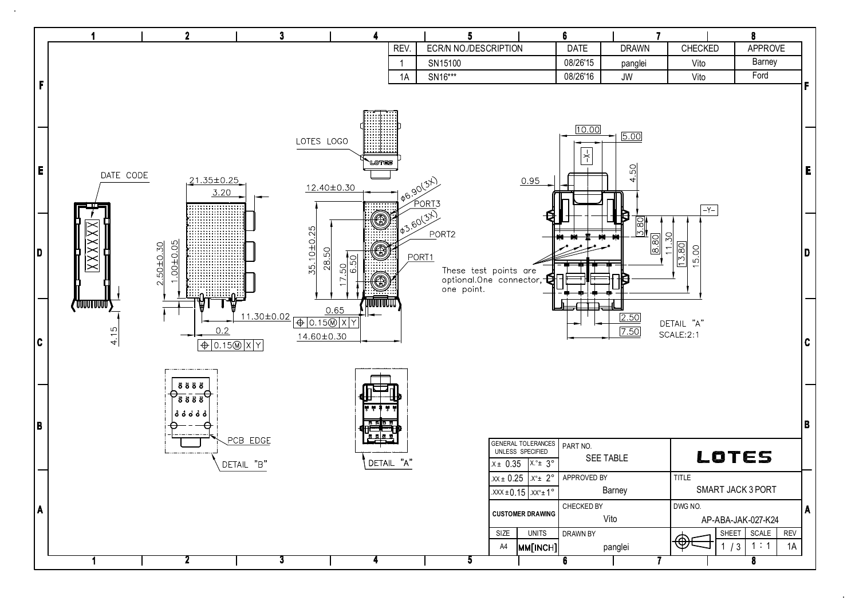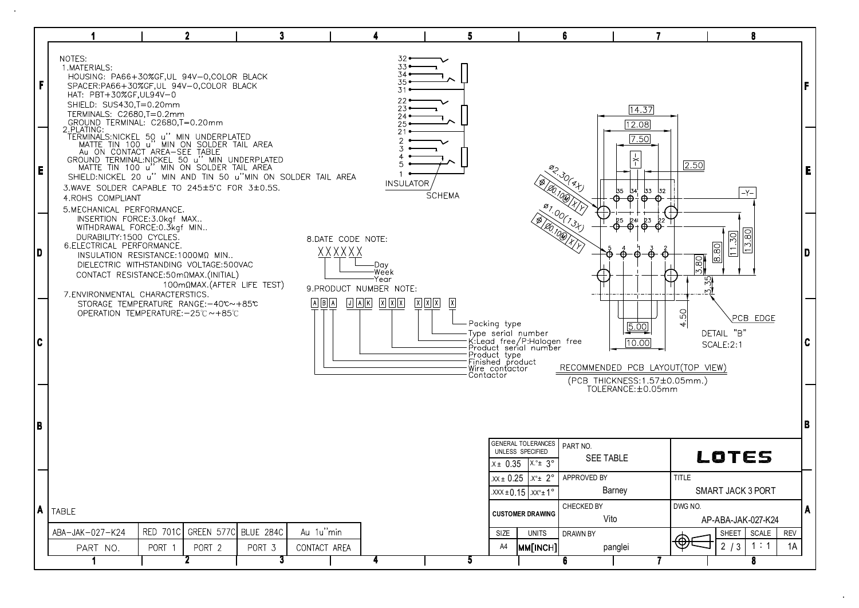|   |                                                                                                                                                                                                                                                                                                              |                 | 2                                          | 3      |                           |                                                                                 |               | 5                                                                                                                                                            |                                                                                                                                                                        | 6                                                                                                                                                                    | 7                                                                                      |                      | 8                                              |                  |     |
|---|--------------------------------------------------------------------------------------------------------------------------------------------------------------------------------------------------------------------------------------------------------------------------------------------------------------|-----------------|--------------------------------------------|--------|---------------------------|---------------------------------------------------------------------------------|---------------|--------------------------------------------------------------------------------------------------------------------------------------------------------------|------------------------------------------------------------------------------------------------------------------------------------------------------------------------|----------------------------------------------------------------------------------------------------------------------------------------------------------------------|----------------------------------------------------------------------------------------|----------------------|------------------------------------------------|------------------|-----|
| F | NOTES:<br>1.MATERIALS:<br>HOUSING: PA66+30%GF,UL 94V-0,COLOR BLACK<br>SPACER:PA66+30%GF,UL 94V-0,COLOR BLACK<br>HAT: PBT+30%GF,UL94V-0<br>SHIELD: SUS430,T=0.20mm<br>TERMINALS: C2680,T=0.2mm<br>GROUND TERMINAL: C2680,T=0.20mm<br>2.PLATING:                                                               |                 |                                            |        |                           | $32-$<br>$33 -$<br>$34$ $\bullet$<br>$35 -$<br>31<br>$22 -$<br>$23 -$<br>24.    |               |                                                                                                                                                              |                                                                                                                                                                        |                                                                                                                                                                      | 14.37<br>[12.08]<br>7.50                                                               |                      |                                                |                  | F.  |
| E | GROUND TERMINAL:NICKEL 50 u" MIN UNDERPLATED<br>MATTE TIN 100 u" MIN ON SOLDER TAIL AREA<br>SHIELD:NICKEL 20 u" MIN AND TIN 50 u"MIN ON SOLDER TAIL AREA<br>3.WAVE SOLDER CAPABLE TO 245±5°C FOR 3±0.5S.<br>4.ROHS COMPLIANT                                                                                 |                 |                                            |        |                           | <b>INSULATOR</b>                                                                | <b>SCHEMA</b> |                                                                                                                                                              |                                                                                                                                                                        | $82.30(8 + j)$<br>[20,100 X)                                                                                                                                         | $\overline{\phantom{a}}^+$<br>32<br>55 54<br>53<br>$\theta$ $\theta$ $\theta$ $\theta$ | 2.50                 | $-Y-$                                          |                  | E   |
| D | 5.MECHANICAL PERFORMANCE.<br>INSERTION FORCE: 3.0kgf MAX<br>WITHDRAWAL FORCE: 0.3kgf MIN<br>DURABILITY:1500 CYCLES.<br>6. ELECTRICAL PERFORMANCE.<br>INSULATION RESISTANCE: 1000MQ MIN<br>DIELECTRIC WITHSTANDING VOLTAGE:500VAC<br>CONTACT RESISTANCE:50mΩMAX.(INITIAL)<br>7. ENVIRONMENTAL CHARACTERSTICS. |                 | $100 \text{m}\Omega$ MAX.(AFTER LIFE TEST) |        |                           | 8.DATE CODE NOTE:<br>XXXXXX<br>-Day<br>-Week<br>-Year<br>9.PRODUCT NUMBER NOTE: |               |                                                                                                                                                              |                                                                                                                                                                        | 87.00(73)<br>(B) 00.100 KV<br>$\overline{\Phi}$ + $\overline{\Phi}$<br>⊕<br>13.80<br>o<br>$\boxed{8.80}$<br>$\left  - \right $<br>$\frac{5.80}{ }$<br>$\frac{55}{2}$ |                                                                                        |                      |                                                |                  | D   |
| C | STORAGE TEMPERATURE RANGE:-40℃~+85℃<br>OPERATION TEMPERATURE:-25℃~+85℃                                                                                                                                                                                                                                       |                 |                                            |        | $A$ $B$ $A$               |                                                                                 | 冈冈冈<br>벷      | Packing type<br>Type serial number<br>K:Lead free/P:Halogen free<br>Product serial number<br>Product type<br>Finished product<br>Wire conťactor<br>Contactor |                                                                                                                                                                        |                                                                                                                                                                      | 5.00<br>[10.00]<br>RECOMMENDED PCB LAYOUT(TOP VIEW)<br>(PCB THICKNESS:1.57±0.05mm.)    | SO<br>$\overline{+}$ | PCB EDGE<br>DETAIL "B"<br>SCALE:2:1            |                  | IC. |
| B |                                                                                                                                                                                                                                                                                                              |                 |                                            |        |                           |                                                                                 |               |                                                                                                                                                              | GENERAL TOLERANCES<br>UNLESS SPECIFIED                                                                                                                                 | PART NO.                                                                                                                                                             | TOLERANCE: ±0.05mm                                                                     |                      | LOTES                                          |                  | B   |
| A | TABLE                                                                                                                                                                                                                                                                                                        |                 |                                            |        |                           |                                                                                 |               |                                                                                                                                                              | .x± 0.35  x.°± 3°<br>$.xx \pm 0.25$ $.x^{\circ} \pm 2^{\circ}$<br>$\overline{.}$ XXX ± 0.15 $\overline{.}$ XX <sup>o</sup> ± 1 <sup>o</sup><br><b>CUSTOMER DRAWING</b> | <b>SEE TABLE</b><br>APPROVED BY<br>CHECKED BY<br>Vito                                                                                                                | Barney                                                                                 | TITLE<br>DWG NO.     | <b>SMART JACK 3 PORT</b><br>AP-ABA-JAK-027-K24 |                  | A   |
|   | ABA-JAK-027-K24                                                                                                                                                                                                                                                                                              | <b>RED 701C</b> | GREEN 577C BLUE 284C                       | PORT 3 | Au 1u"min<br>CONTACT AREA |                                                                                 |               | SIZE<br>A4                                                                                                                                                   | <b>UNITS</b><br>MM[INCH]                                                                                                                                               | DRAWN BY                                                                                                                                                             |                                                                                        |                      | SCALE<br>SHEET<br>2/3<br>1:1                   | <b>REV</b><br>1A |     |
|   | PART NO.                                                                                                                                                                                                                                                                                                     | PORT 1          | PORT 2                                     | 3      |                           | 4                                                                               |               | Ð                                                                                                                                                            |                                                                                                                                                                        | 6                                                                                                                                                                    | panglei                                                                                |                      | 8                                              |                  |     |